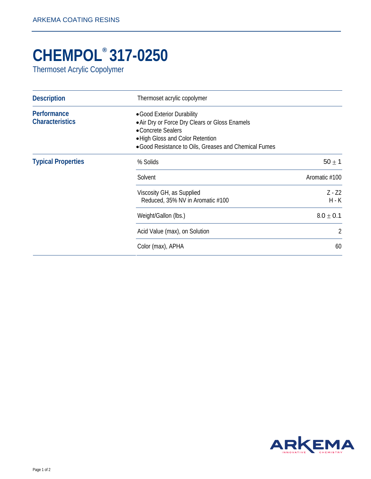## **CHEMPOL® 317-0250**

Thermoset Acrylic Copolymer

| <b>Description</b>                    | Thermoset acrylic copolymer                                                                                                                                                                     |                     |
|---------------------------------------|-------------------------------------------------------------------------------------------------------------------------------------------------------------------------------------------------|---------------------|
| Performance<br><b>Characteristics</b> | • Good Exterior Durability<br>• Air Dry or Force Dry Clears or Gloss Enamels<br>• Concrete Sealers<br>. High Gloss and Color Retention<br>• Good Resistance to Oils, Greases and Chemical Fumes |                     |
| <b>Typical Properties</b>             | % Solids                                                                                                                                                                                        | $50 \pm 1$          |
|                                       | Solvent                                                                                                                                                                                         | Aromatic #100       |
|                                       | Viscosity GH, as Supplied<br>Reduced, 35% NV in Aromatic #100                                                                                                                                   | $Z - Z2$<br>$H - K$ |
|                                       | Weight/Gallon (lbs.)                                                                                                                                                                            | $8.0 \pm 0.1$       |
|                                       | Acid Value (max), on Solution                                                                                                                                                                   | 2                   |
|                                       | Color (max), APHA                                                                                                                                                                               | 60                  |